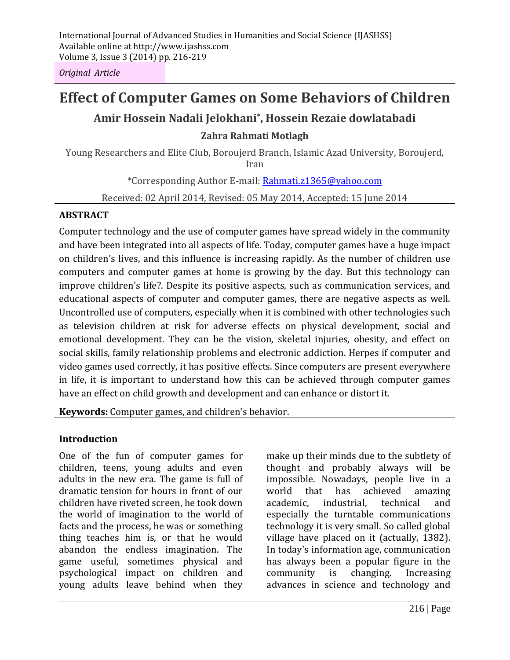*Original Article*

# **Effect of Computer Games on Some Behaviors of Children**

## **Amir Hossein Nadali Jelokhani\* , Hossein Rezaie dowlatabadi**

### **Zahra Rahmati Motlagh**

Young Researchers and Elite Club, Boroujerd Branch, Islamic Azad University, Boroujerd, Iran

\*Corresponding Author E-mail: Rahmati.z1365@yahoo.com

Received: 02 April 2014, Revised: 05 May 2014, Accepted: 15 June 2014

#### **ABSTRACT**

Computer technology and the use of computer games have spread widely in the community and have been integrated into all aspects of life. Today, computer games have a huge impact on children's lives, and this influence is increasing rapidly. As the number of children use computers and computer games at home is growing by the day. But this technology can improve children's life?. Despite its positive aspects, such as communication services, and educational aspects of computer and computer games, there are negative aspects as well. Uncontrolled use of computers, especially when it is combined with other technologies such as television children at risk for adverse effects on physical development, social and emotional development. They can be the vision, skeletal injuries, obesity, and effect on social skills, family relationship problems and electronic addiction. Herpes if computer and video games used correctly, it has positive effects. Since computers are present everywhere in life, it is important to understand how this can be achieved through computer games have an effect on child growth and development and can enhance or distort it.

**Keywords:** Computer games, and children's behavior.

## **Introduction**

One of the fun of computer games for children, teens, young adults and even adults in the new era. The game is full of dramatic tension for hours in front of our children have riveted screen, he took down the world of imagination to the world of facts and the process, he was or something thing teaches him is, or that he would abandon the endless imagination. The game useful, sometimes physical and psychological impact on children and young adults leave behind when they make up their minds due to the subtlety of thought and probably always will be impossible. Nowadays, people live in a world that has achieved amazing academic, industrial, technical and especially the turntable communications technology it is very small. So called global village have placed on it (actually, 1382). In today's information age, communication has always been a popular figure in the community is changing. Increasing advances in science and technology and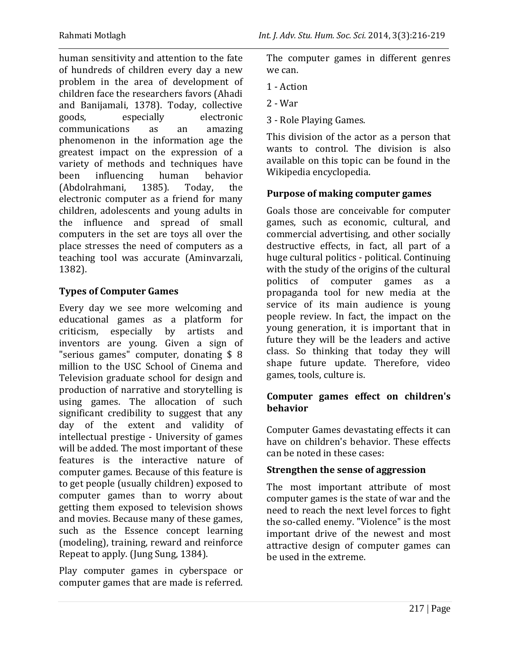human sensitivity and attention to the fate of hundreds of children every day a new problem in the area of development of children face the researchers favors (Ahadi and Banijamali, 1378). Today, collective goods, especially electronic communications as an amazing phenomenon in the information age the greatest impact on the expression of a variety of methods and techniques have been influencing human behavior (Abdolrahmani, 1385). Today, the electronic computer as a friend for many children, adolescents and young adults in the influence and spread of small computers in the set are toys all over the place stresses the need of computers as a teaching tool was accurate (Aminvarzali, 1382).

## **Types of Computer Games**

Every day we see more welcoming and educational games as a platform for criticism, especially by artists and inventors are young. Given a sign of "serious games" computer, donating \$ 8 million to the USC School of Cinema and Television graduate school for design and production of narrative and storytelling is using games. The allocation of such significant credibility to suggest that any day of the extent and validity of intellectual prestige - University of games will be added. The most important of these features is the interactive nature of computer games. Because of this feature is to get people (usually children) exposed to computer games than to worry about getting them exposed to television shows and movies. Because many of these games, such as the Essence concept learning (modeling), training, reward and reinforce Repeat to apply. (Jung Sung, 1384).

Play computer games in cyberspace or computer games that are made is referred. The computer games in different genres we can.

- 1 Action
- 2 War
- 3 Role Playing Games.

This division of the actor as a person that wants to control. The division is also available on this topic can be found in the Wikipedia encyclopedia.

#### **Purpose of making computer games**

Goals those are conceivable for computer games, such as economic, cultural, and commercial advertising, and other socially destructive effects, in fact, all part of a huge cultural politics - political. Continuing with the study of the origins of the cultural politics of computer games as a propaganda tool for new media at the service of its main audience is young people review. In fact, the impact on the young generation, it is important that in future they will be the leaders and active class. So thinking that today they will shape future update. Therefore, video games, tools, culture is.

#### **Computer games effect on children's behavior**

Computer Games devastating effects it can have on children's behavior. These effects can be noted in these cases:

## **Strengthen the sense of aggression**

The most important attribute of most computer games is the state of war and the need to reach the next level forces to fight the so-called enemy. "Violence" is the most important drive of the newest and most attractive design of computer games can be used in the extreme.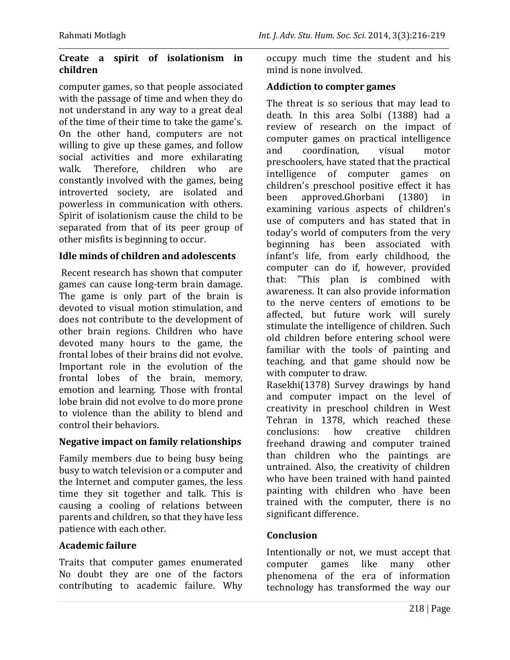#### **Create a spirit of isolationism in children**

computer games, so that people associated with the passage of time and when they do not understand in any way to a great deal of the time of their time to take the game's. On the other hand, computers are not willing to give up these games, and follow social activities and more exhilarating walk. Therefore, children who are constantly involved with the games, being introverted society, are isolated and powerless in communication with others. Spirit of isolationism cause the child to be separated from that of its peer group of other misfits is beginning to occur.

#### **Idle minds of children and adolescents**

Recent research has shown that computer games can cause long-term brain damage. The game is only part of the brain is devoted to visual motion stimulation, and does not contribute to the development of other brain regions. Children who have devoted many hours to the game, the frontal lobes of their brains did not evolve. Important role in the evolution of the frontal lobes of the brain, memory, emotion and learning. Those with frontal lobe brain did not evolve to do more prone to violence than the ability to blend and control their behaviors.

#### **Negative impact on family relationships**

Family members due to being busy being busy to watch television or a computer and the Internet and computer games, the less time they sit together and talk. This is causing a cooling of relations between parents and children, so that they have less patience with each other.

## **Academic failure**

Traits that computer games enumerated No doubt they are one of the factors contributing to academic failure. Why occupy much time the student and his mind is none involved.

#### **Addiction to compter games**

The threat is so serious that may lead to death. In this area Solbi (1388) had a review of research on the impact of computer games on practical intelligence and coordination, visual motor preschoolers, have stated that the practical intelligence of computer games on children's preschool positive effect it has been approved.Ghorbani (1380) in examining various aspects of children's use of computers and has stated that in today's world of computers from the very beginning has been associated with infant's life, from early childhood, the computer can do if, however, provided that: "This plan is combined with awareness. It can also provide information to the nerve centers of emotions to be affected, but future work will surely stimulate the intelligence of children. Such old children before entering school were familiar with the tools of painting and teaching, and that game should now be with computer to draw. Rasekhi(1378) Survey drawings by hand and computer impact on the level of

creativity in preschool children in West Tehran in 1378, which reached these conclusions: how creative children freehand drawing and computer trained than children who the paintings are untrained. Also, the creativity of children who have been trained with hand painted painting with children who have been trained with the computer, there is no significant difference.

## **Conclusion**

Intentionally or not, we must accept that computer games like many other phenomena of the era of information technology has transformed the way our